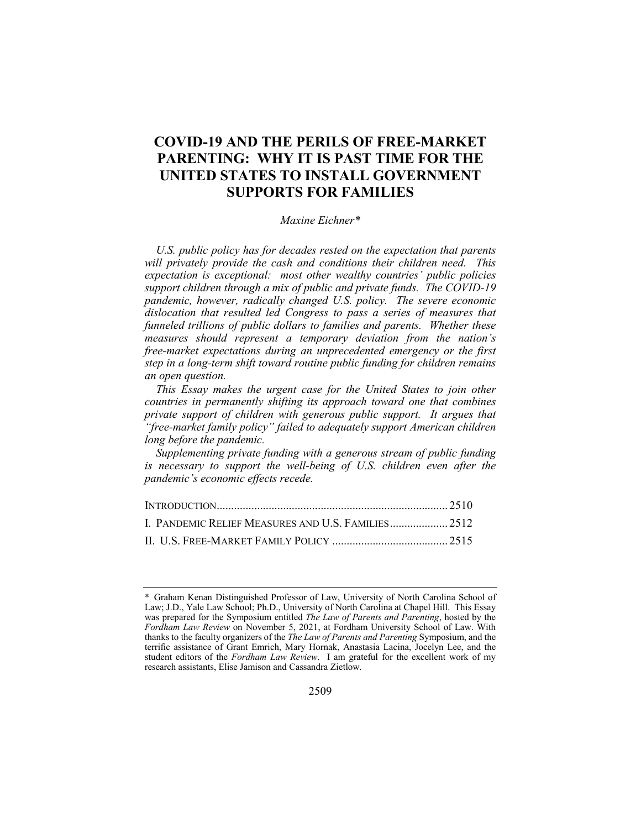# **COVID-19 AND THE PERILS OF FREE-MARKET PARENTING: WHY IT IS PAST TIME FOR THE UNITED STATES TO INSTALL GOVERNMENT SUPPORTS FOR FAMILIES**

#### *Maxine Eichner\**

*U.S. public policy has for decades rested on the expectation that parents will privately provide the cash and conditions their children need. This expectation is exceptional: most other wealthy countries' public policies support children through a mix of public and private funds. The COVID-19 pandemic, however, radically changed U.S. policy. The severe economic dislocation that resulted led Congress to pass a series of measures that funneled trillions of public dollars to families and parents. Whether these measures should represent a temporary deviation from the nation's free-market expectations during an unprecedented emergency or the first step in a long-term shift toward routine public funding for children remains an open question.*

*This Essay makes the urgent case for the United States to join other countries in permanently shifting its approach toward one that combines private support of children with generous public support. It argues that "free-market family policy" failed to adequately support American children long before the pandemic.*

*Supplementing private funding with a generous stream of public funding*  is necessary to support the well-being of U.S. children even after the *pandemic's economic effects recede.*

<sup>\*</sup> Graham Kenan Distinguished Professor of Law, University of North Carolina School of Law; J.D., Yale Law School; Ph.D., University of North Carolina at Chapel Hill. This Essay was prepared for the Symposium entitled *The Law of Parents and Parenting*, hosted by the *Fordham Law Review* on November 5, 2021, at Fordham University School of Law. With thanks to the faculty organizers of the *The Law of Parents and Parenting* Symposium, and the terrific assistance of Grant Emrich, Mary Hornak, Anastasia Lacina, Jocelyn Lee, and the student editors of the *Fordham Law Review*. I am grateful for the excellent work of my research assistants, Elise Jamison and Cassandra Zietlow.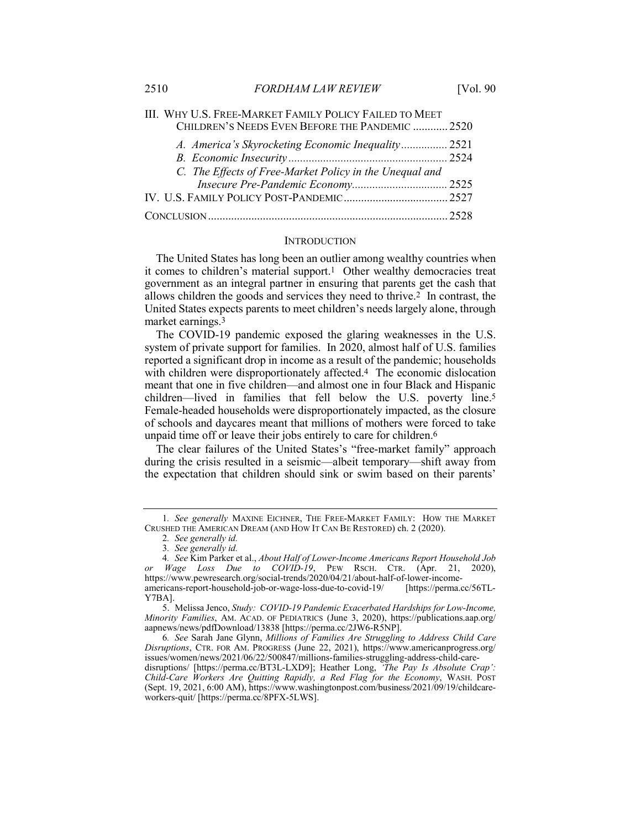| CHILDREN'S NEEDS EVEN BEFORE THE PANDEMIC  2520<br>A. America's Skyrocketing Economic Inequality 2521<br>C. The Effects of Free-Market Policy in the Unequal and | III. WHY U.S. FREE-MARKET FAMILY POLICY FAILED TO MEET |  |
|------------------------------------------------------------------------------------------------------------------------------------------------------------------|--------------------------------------------------------|--|
|                                                                                                                                                                  |                                                        |  |
|                                                                                                                                                                  |                                                        |  |
|                                                                                                                                                                  |                                                        |  |
|                                                                                                                                                                  |                                                        |  |
|                                                                                                                                                                  |                                                        |  |
|                                                                                                                                                                  |                                                        |  |
|                                                                                                                                                                  |                                                        |  |

#### **INTRODUCTION**

The United States has long been an outlier among wealthy countries when it comes to children's material support.1 Other wealthy democracies treat government as an integral partner in ensuring that parents get the cash that allows children the goods and services they need to thrive.2 In contrast, the United States expects parents to meet children's needs largely alone, through market earnings.3

The COVID-19 pandemic exposed the glaring weaknesses in the U.S. system of private support for families. In 2020, almost half of U.S. families reported a significant drop in income as a result of the pandemic; households with children were disproportionately affected.<sup>4</sup> The economic dislocation meant that one in five children—and almost one in four Black and Hispanic children—lived in families that fell below the U.S. poverty line.5 Female-headed households were disproportionately impacted, as the closure of schools and daycares meant that millions of mothers were forced to take unpaid time off or leave their jobs entirely to care for children.6

The clear failures of the United States's "free-market family" approach during the crisis resulted in a seismic—albeit temporary—shift away from the expectation that children should sink or swim based on their parents'

<sup>1</sup>*. See generally* MAXINE EICHNER, THE FREE-MARKET FAMILY: HOW THE MARKET CRUSHED THE AMERICAN DREAM (AND HOW IT CAN BE RESTORED) ch. 2 (2020).

<sup>2</sup>*. See generally id.*

<sup>3</sup>*. See generally id.*

<sup>4</sup>*. See* Kim Parker et al., *About Half of Lower-Income Americans Report Household Job or Wage Loss Due to COVID-19*, PEW RSCH. CTR. (Apr. 21, 2020), https://www.pewresearch.org/social-trends/2020/04/21/about-half-of-lower-incomeamericans-report-household-job-or-wage-loss-due-to-covid-19/ Y7BA].

<sup>5.</sup> Melissa Jenco, *Study: COVID-19 Pandemic Exacerbated Hardships for Low-Income, Minority Families*, AM. ACAD. OF PEDIATRICS (June 3, 2020), https://publications.aap.org/ aapnews/news/pdfDownload/13838 [https://perma.cc/2JW6-R5NP].

<sup>6</sup>*. See* Sarah Jane Glynn, *Millions of Families Are Struggling to Address Child Care Disruptions*, CTR. FOR AM. PROGRESS (June 22, 2021), https://www.americanprogress.org/ issues/women/news/2021/06/22/500847/millions-families-struggling-address-child-caredisruptions/ [https://perma.cc/BT3L-LXD9]; Heather Long, *'The Pay Is Absolute Crap': Child-Care Workers Are Quitting Rapidly, a Red Flag for the Economy*, WASH. POST (Sept. 19, 2021, 6:00 AM), https://www.washingtonpost.com/business/2021/09/19/childcareworkers-quit/ [https://perma.cc/8PFX-5LWS].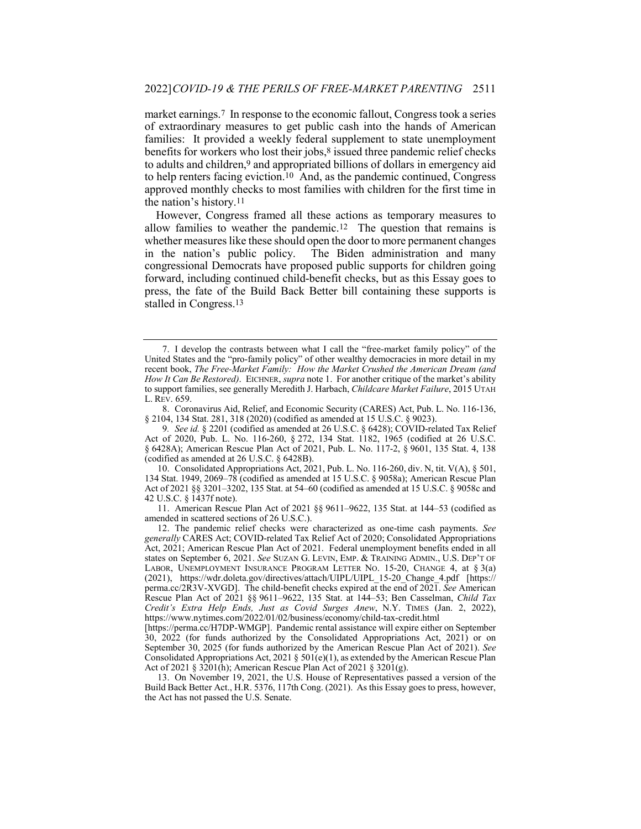market earnings.7 In response to the economic fallout, Congress took a series of extraordinary measures to get public cash into the hands of American families: It provided a weekly federal supplement to state unemployment benefits for workers who lost their jobs,8 issued three pandemic relief checks to adults and children,<sup>9</sup> and appropriated billions of dollars in emergency aid to help renters facing eviction.10 And, as the pandemic continued, Congress approved monthly checks to most families with children for the first time in the nation's history.11

However, Congress framed all these actions as temporary measures to allow families to weather the pandemic.12 The question that remains is whether measures like these should open the door to more permanent changes in the nation's public policy. The Biden administration and many congressional Democrats have proposed public supports for children going forward, including continued child-benefit checks, but as this Essay goes to press, the fate of the Build Back Better bill containing these supports is stalled in Congress.13

11. American Rescue Plan Act of 2021 §§ 9611–9622, 135 Stat. at 144–53 (codified as amended in scattered sections of 26 U.S.C.).

12. The pandemic relief checks were characterized as one-time cash payments. *See generally* CARES Act; COVID-related Tax Relief Act of 2020; Consolidated Appropriations Act, 2021; American Rescue Plan Act of 2021. Federal unemployment benefits ended in all states on September 6, 2021. *See* SUZAN G. LEVIN, EMP. & TRAINING ADMIN., U.S. DEP'T OF LABOR, UNEMPLOYMENT INSURANCE PROGRAM LETTER NO. 15-20, CHANGE 4, at  $\S 3(a)$ (2021), https://wdr.doleta.gov/directives/attach/UIPL/UIPL\_15-20\_Change\_4.pdf [https:// perma.cc/2R3V-XVGD]. The child-benefit checks expired at the end of 2021. *See* American Rescue Plan Act of 2021 §§ 9611–9622, 135 Stat. at 144–53; Ben Casselman, *Child Tax Credit's Extra Help Ends, Just as Covid Surges Anew*, N.Y. TIMES (Jan. 2, 2022), https://www.nytimes.com/2022/01/02/business/economy/child-tax-credit.html

<sup>7.</sup> I develop the contrasts between what I call the "free-market family policy" of the United States and the "pro-family policy" of other wealthy democracies in more detail in my recent book, *The Free-Market Family: How the Market Crushed the American Dream (and How It Can Be Restored)*. EICHNER, *supra* note 1. For another critique of the market's ability to support families, see generally Meredith J. Harbach, *Childcare Market Failure*, 2015 UTAH L. REV. 659.

<sup>8.</sup> Coronavirus Aid, Relief, and Economic Security (CARES) Act, Pub. L. No. 116-136, § 2104, 134 Stat. 281, 318 (2020) (codified as amended at 15 U.S.C. § 9023).

<sup>9</sup>*. See id.* § 2201 (codified as amended at 26 U.S.C. § 6428); COVID-related Tax Relief Act of 2020, Pub. L. No. 116-260, § 272, 134 Stat. 1182, 1965 (codified at 26 U.S.C. § 6428A); American Rescue Plan Act of 2021, Pub. L. No. 117-2, § 9601, 135 Stat. 4, 138 (codified as amended at 26 U.S.C. § 6428B).

<sup>10.</sup> Consolidated Appropriations Act, 2021, Pub. L. No. 116-260, div. N, tit. V(A), § 501, 134 Stat. 1949, 2069–78 (codified as amended at 15 U.S.C. § 9058a); American Rescue Plan Act of 2021 §§ 3201–3202, 135 Stat. at 54–60 (codified as amended at 15 U.S.C. § 9058c and 42 U.S.C. § 1437f note).

<sup>[</sup>https://perma.cc/H7DP-WMGP]. Pandemic rental assistance will expire either on September 30, 2022 (for funds authorized by the Consolidated Appropriations Act, 2021) or on September 30, 2025 (for funds authorized by the American Rescue Plan Act of 2021). *See* Consolidated Appropriations Act, 2021  $\S 501(e)(1)$ , as extended by the American Rescue Plan Act of 2021 § 3201(h); American Rescue Plan Act of 2021 § 3201(g).

<sup>13.</sup> On November 19, 2021, the U.S. House of Representatives passed a version of the Build Back Better Act., H.R. 5376, 117th Cong. (2021). As this Essay goes to press, however, the Act has not passed the U.S. Senate.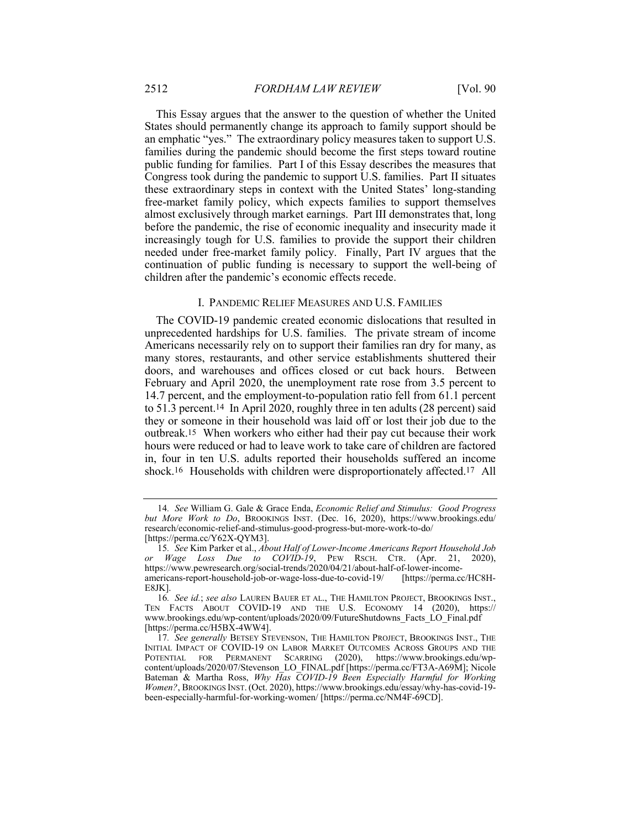This Essay argues that the answer to the question of whether the United States should permanently change its approach to family support should be an emphatic "yes." The extraordinary policy measures taken to support U.S. families during the pandemic should become the first steps toward routine public funding for families. Part I of this Essay describes the measures that Congress took during the pandemic to support U.S. families. Part II situates these extraordinary steps in context with the United States' long-standing free-market family policy, which expects families to support themselves almost exclusively through market earnings. Part III demonstrates that, long before the pandemic, the rise of economic inequality and insecurity made it increasingly tough for U.S. families to provide the support their children needed under free-market family policy. Finally, Part IV argues that the continuation of public funding is necessary to support the well-being of children after the pandemic's economic effects recede.

# I. PANDEMIC RELIEF MEASURES AND U.S. FAMILIES

The COVID-19 pandemic created economic dislocations that resulted in unprecedented hardships for U.S. families. The private stream of income Americans necessarily rely on to support their families ran dry for many, as many stores, restaurants, and other service establishments shuttered their doors, and warehouses and offices closed or cut back hours. Between February and April 2020, the unemployment rate rose from 3.5 percent to 14.7 percent, and the employment-to-population ratio fell from 61.1 percent to 51.3 percent.14 In April 2020, roughly three in ten adults (28 percent) said they or someone in their household was laid off or lost their job due to the outbreak.15 When workers who either had their pay cut because their work hours were reduced or had to leave work to take care of children are factored in, four in ten U.S. adults reported their households suffered an income shock.16 Households with children were disproportionately affected.17 All

<sup>14</sup>*. See* William G. Gale & Grace Enda, *Economic Relief and Stimulus: Good Progress but More Work to Do*, BROOKINGS INST. (Dec. 16, 2020), https://www.brookings.edu/ research/economic-relief-and-stimulus-good-progress-but-more-work-to-do/ [https://perma.cc/Y62X-QYM3].

<sup>15</sup>*. See* Kim Parker et al., *About Half of Lower-Income Americans Report Household Job or Wage Loss Due to COVID-19*, PEW RSCH. CTR. (Apr. 21, 2020), https://www.pewresearch.org/social-trends/2020/04/21/about-half-of-lower-incomeamericans-report-household-job-or-wage-loss-due-to-covid-19/ E8JK].

<sup>16</sup>*. See id.*; *see also* LAUREN BAUER ET AL., THE HAMILTON PROJECT, BROOKINGS INST., TEN FACTS ABOUT COVID-19 AND THE U.S. ECONOMY 14 (2020), https:// www.brookings.edu/wp-content/uploads/2020/09/FutureShutdowns\_Facts\_LO\_Final.pdf [https://perma.cc/H5BX-4WW4].

<sup>17</sup>*. See generally* BETSEY STEVENSON, THE HAMILTON PROJECT, BROOKINGS INST., THE INITIAL IMPACT OF COVID-19 ON LABOR MARKET OUTCOMES ACROSS GROUPS AND THE POTENTIAL FOR PERMANENT SCARRING (2020), https://www.brookings.edu/wpcontent/uploads/2020/07/Stevenson\_LO\_FINAL.pdf [https://perma.cc/FT3A-A69M]; Nicole Bateman & Martha Ross, *Why Has COVID-19 Been Especially Harmful for Working Women?*, BROOKINGS INST. (Oct. 2020), https://www.brookings.edu/essay/why-has-covid-19 been-especially-harmful-for-working-women/ [https://perma.cc/NM4F-69CD].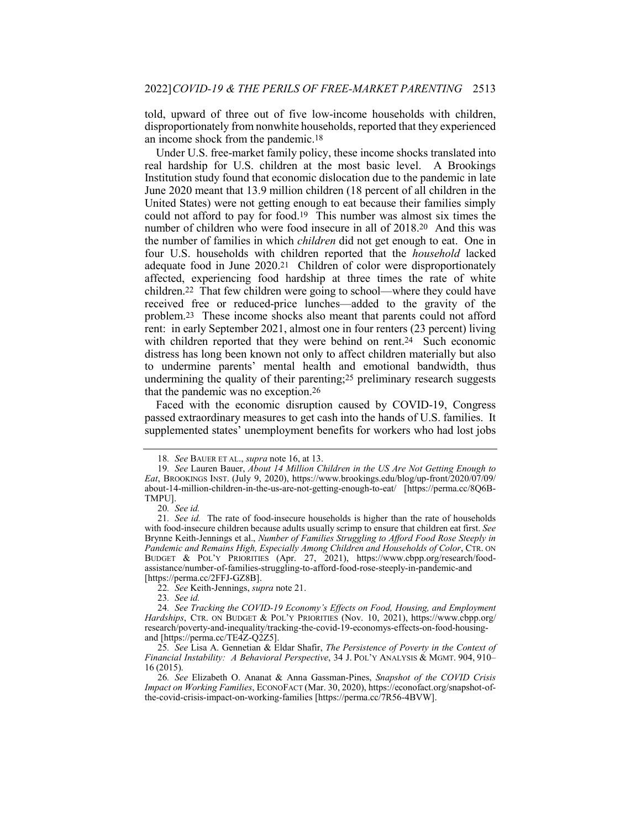told, upward of three out of five low-income households with children, disproportionately from nonwhite households, reported that they experienced an income shock from the pandemic.18

Under U.S. free-market family policy, these income shocks translated into real hardship for U.S. children at the most basic level. A Brookings Institution study found that economic dislocation due to the pandemic in late June 2020 meant that 13.9 million children (18 percent of all children in the United States) were not getting enough to eat because their families simply could not afford to pay for food.19 This number was almost six times the number of children who were food insecure in all of 2018.20 And this was the number of families in which *children* did not get enough to eat. One in four U.S. households with children reported that the *household* lacked adequate food in June 2020.21 Children of color were disproportionately affected, experiencing food hardship at three times the rate of white children.22 That few children were going to school—where they could have received free or reduced-price lunches—added to the gravity of the problem.23 These income shocks also meant that parents could not afford rent: in early September 2021, almost one in four renters (23 percent) living with children reported that they were behind on rent.<sup>24</sup> Such economic distress has long been known not only to affect children materially but also to undermine parents' mental health and emotional bandwidth, thus undermining the quality of their parenting;25 preliminary research suggests that the pandemic was no exception.26

Faced with the economic disruption caused by COVID-19, Congress passed extraordinary measures to get cash into the hands of U.S. families. It supplemented states' unemployment benefits for workers who had lost jobs

<sup>18</sup>*. See* BAUER ET AL., *supra* note 16, at 13.

<sup>19</sup>*. See* Lauren Bauer, *About 14 Million Children in the US Are Not Getting Enough to Eat*, BROOKINGS INST. (July 9, 2020), https://www.brookings.edu/blog/up-front/2020/07/09/ about-14-million-children-in-the-us-are-not-getting-enough-to-eat/ [https://perma.cc/8Q6B-TMPU].

<sup>20</sup>*. See id.*

<sup>21</sup>*. See id.* The rate of food-insecure households is higher than the rate of households with food-insecure children because adults usually scrimp to ensure that children eat first. *See* Brynne Keith-Jennings et al., *Number of Families Struggling to Afford Food Rose Steeply in Pandemic and Remains High, Especially Among Children and Households of Color*, CTR. ON BUDGET & POL'Y PRIORITIES (Apr. 27, 2021), https://www.cbpp.org/research/foodassistance/number-of-families-struggling-to-afford-food-rose-steeply-in-pandemic-and [https://perma.cc/2FFJ-GZ8B].

<sup>22</sup>*. See* Keith-Jennings, *supra* note 21.

<sup>23</sup>*. See id.*

<sup>24</sup>*. See Tracking the COVID-19 Economy's Effects on Food, Housing, and Employment Hardships*, CTR. ON BUDGET & POL'Y PRIORITIES (Nov. 10, 2021), https://www.cbpp.org/ research/poverty-and-inequality/tracking-the-covid-19-economys-effects-on-food-housingand [https://perma.cc/TE4Z-Q2Z5].

<sup>25</sup>*. See* Lisa A. Gennetian & Eldar Shafir, *The Persistence of Poverty in the Context of Financial Instability: A Behavioral Perspective*, 34 J. POL'Y ANALYSIS & MGMT. 904, 910– 16 (2015).

<sup>26</sup>*. See* Elizabeth O. Ananat & Anna Gassman-Pines, *Snapshot of the COVID Crisis Impact on Working Families*, ECONOFACT (Mar. 30, 2020), https://econofact.org/snapshot-ofthe-covid-crisis-impact-on-working-families [https://perma.cc/7R56-4BVW].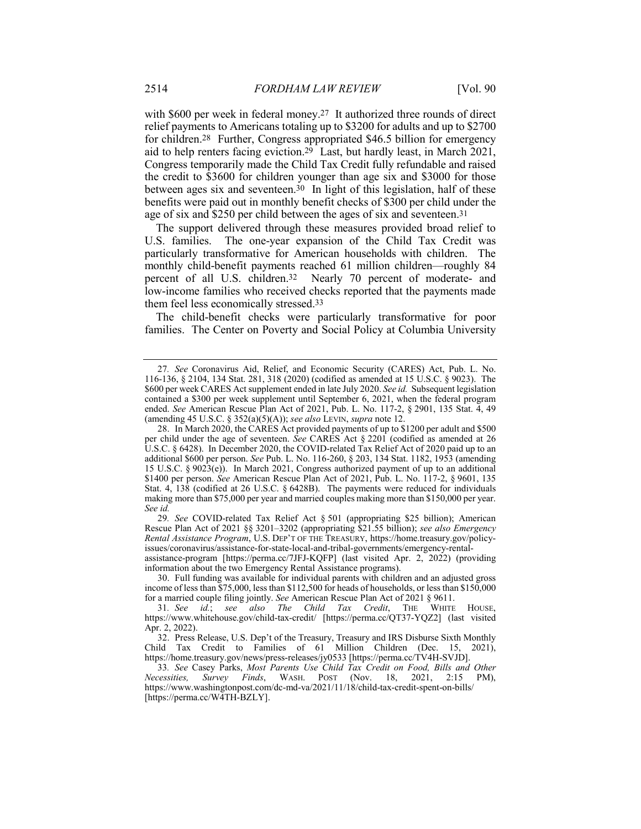with \$600 per week in federal money.<sup>27</sup> It authorized three rounds of direct relief payments to Americans totaling up to \$3200 for adults and up to \$2700 for children.28 Further, Congress appropriated \$46.5 billion for emergency aid to help renters facing eviction.29 Last, but hardly least, in March 2021, Congress temporarily made the Child Tax Credit fully refundable and raised the credit to \$3600 for children younger than age six and \$3000 for those between ages six and seventeen.30 In light of this legislation, half of these benefits were paid out in monthly benefit checks of \$300 per child under the age of six and \$250 per child between the ages of six and seventeen.31

The support delivered through these measures provided broad relief to U.S. families. The one-year expansion of the Child Tax Credit was particularly transformative for American households with children. The monthly child-benefit payments reached 61 million children—roughly 84 percent of all U.S. children.32 Nearly 70 percent of moderate- and low-income families who received checks reported that the payments made them feel less economically stressed.33

The child-benefit checks were particularly transformative for poor families. The Center on Poverty and Social Policy at Columbia University

29*. See* COVID-related Tax Relief Act § 501 (appropriating \$25 billion); American Rescue Plan Act of 2021 §§ 3201–3202 (appropriating \$21.55 billion); *see also Emergency Rental Assistance Program*, U.S. DEP'T OF THE TREASURY, https://home.treasury.gov/policyissues/coronavirus/assistance-for-state-local-and-tribal-governments/emergency-rental-

assistance-program [https://perma.cc/7JFJ-KQFP] (last visited Apr. 2, 2022) (providing information about the two Emergency Rental Assistance programs).

30. Full funding was available for individual parents with children and an adjusted gross income of less than \$75,000, less than \$112,500 for heads of households, or less than \$150,000 for a married couple filing jointly. *See* American Rescue Plan Act of 2021 § 9611.

31*. See id.*; *see also The Child Tax Credit*, THE WHITE HOUSE, https://www.whitehouse.gov/child-tax-credit/ [https://perma.cc/QT37-YQZ2] (last visited Apr. 2, 2022).

32. Press Release, U.S. Dep't of the Treasury, Treasury and IRS Disburse Sixth Monthly Child Tax Credit to Families of 61 Million Children (Dec. 15, 2021), https://home.treasury.gov/news/press-releases/jy0533 [https://perma.cc/TV4H-SVJD].

33*. See* Casey Parks, *Most Parents Use Child Tax Credit on Food, Bills and Other Necessities, Survey Finds*, WASH. POST (Nov. 18, 2021, 2:15 PM), https://www.washingtonpost.com/dc-md-va/2021/11/18/child-tax-credit-spent-on-bills/ [https://perma.cc/W4TH-BZLY].

<sup>27</sup>*. See* Coronavirus Aid, Relief, and Economic Security (CARES) Act, Pub. L. No. 116-136, § 2104, 134 Stat. 281, 318 (2020) (codified as amended at 15 U.S.C. § 9023). The \$600 per week CARES Act supplement ended in late July 2020. *See id.* Subsequent legislation contained a \$300 per week supplement until September 6, 2021, when the federal program ended. *See* American Rescue Plan Act of 2021, Pub. L. No. 117-2, § 2901, 135 Stat. 4, 49 (amending 45 U.S.C. § 352(a)(5)(A)); *see also* LEVIN, *supra* note 12.

<sup>28.</sup> In March 2020, the CARES Act provided payments of up to \$1200 per adult and \$500 per child under the age of seventeen. *See* CARES Act § 2201 (codified as amended at 26 U.S.C. § 6428). In December 2020, the COVID-related Tax Relief Act of 2020 paid up to an additional \$600 per person. *See* Pub. L. No. 116-260, § 203, 134 Stat. 1182, 1953 (amending 15 U.S.C. § 9023(e)). In March 2021, Congress authorized payment of up to an additional \$1400 per person. *See* American Rescue Plan Act of 2021, Pub. L. No. 117-2, § 9601, 135 Stat. 4, 138 (codified at 26 U.S.C. § 6428B). The payments were reduced for individuals making more than \$75,000 per year and married couples making more than \$150,000 per year. *See id.*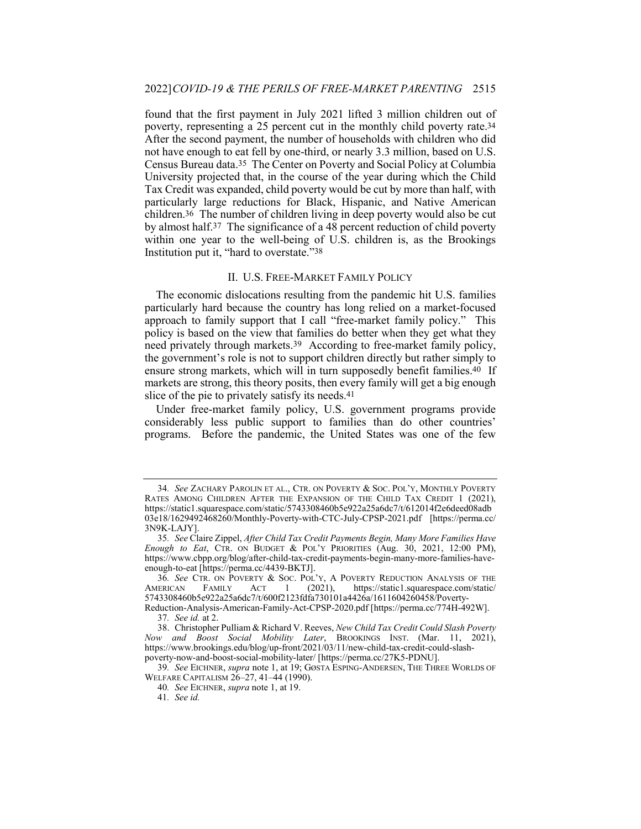found that the first payment in July 2021 lifted 3 million children out of poverty, representing a 25 percent cut in the monthly child poverty rate.34 After the second payment, the number of households with children who did not have enough to eat fell by one-third, or nearly 3.3 million, based on U.S. Census Bureau data.35 The Center on Poverty and Social Policy at Columbia University projected that, in the course of the year during which the Child Tax Credit was expanded, child poverty would be cut by more than half, with particularly large reductions for Black, Hispanic, and Native American children.36 The number of children living in deep poverty would also be cut by almost half.37 The significance of a 48 percent reduction of child poverty within one year to the well-being of U.S. children is, as the Brookings Institution put it, "hard to overstate."38

## II. U.S. FREE-MARKET FAMILY POLICY

The economic dislocations resulting from the pandemic hit U.S. families particularly hard because the country has long relied on a market-focused approach to family support that I call "free-market family policy." This policy is based on the view that families do better when they get what they need privately through markets.39 According to free-market family policy, the government's role is not to support children directly but rather simply to ensure strong markets, which will in turn supposedly benefit families.40 If markets are strong, this theory posits, then every family will get a big enough slice of the pie to privately satisfy its needs.41

Under free-market family policy, U.S. government programs provide considerably less public support to families than do other countries' programs. Before the pandemic, the United States was one of the few

<sup>34</sup>*. See* ZACHARY PAROLIN ET AL., CTR. ON POVERTY & SOC. POL'Y, MONTHLY POVERTY RATES AMONG CHILDREN AFTER THE EXPANSION OF THE CHILD TAX CREDIT 1 (2021), https://static1.squarespace.com/static/5743308460b5e922a25a6dc7/t/612014f2e6deed08adb 03e18/1629492468260/Monthly-Poverty-with-CTC-July-CPSP-2021.pdf [https://perma.cc/ 3N9K-LAJY].

<sup>35</sup>*. See* Claire Zippel, *After Child Tax Credit Payments Begin, Many More Families Have Enough to Eat*, CTR. ON BUDGET & POL'Y PRIORITIES (Aug. 30, 2021, 12:00 PM), https://www.cbpp.org/blog/after-child-tax-credit-payments-begin-many-more-families-haveenough-to-eat [https://perma.cc/4439-BKTJ].

<sup>36</sup>*. See* CTR. ON POVERTY & SOC. POL'Y, A POVERTY REDUCTION ANALYSIS OF THE AMERICAN FAMILY ACT 1 (2021), https://static1.squarespace.com/static/ 1 (2021), https://static1.squarespace.com/static/ 5743308460b5e922a25a6dc7/t/600f2123fdfa730101a4426a/1611604260458/Poverty-

Reduction-Analysis-American-Family-Act-CPSP-2020.pdf [https://perma.cc/774H-492W]. 37*. See id.* at 2.

<sup>38.</sup> Christopher Pulliam & Richard V. Reeves, *New Child Tax Credit Could Slash Poverty Now and Boost Social Mobility Later*, BROOKINGS INST. (Mar. 11, 2021), https://www.brookings.edu/blog/up-front/2021/03/11/new-child-tax-credit-could-slashpoverty-now-and-boost-social-mobility-later/ [https://perma.cc/27K5-PDNU].

<sup>39</sup>*. See* EICHNER, *supra* note 1, at 19; GØSTA ESPING-ANDERSEN, THE THREE WORLDS OF WELFARE CAPITALISM 26–27, 41–44 (1990).

<sup>40</sup>*. See* EICHNER, *supra* note 1, at 19.

<sup>41</sup>*. See id.*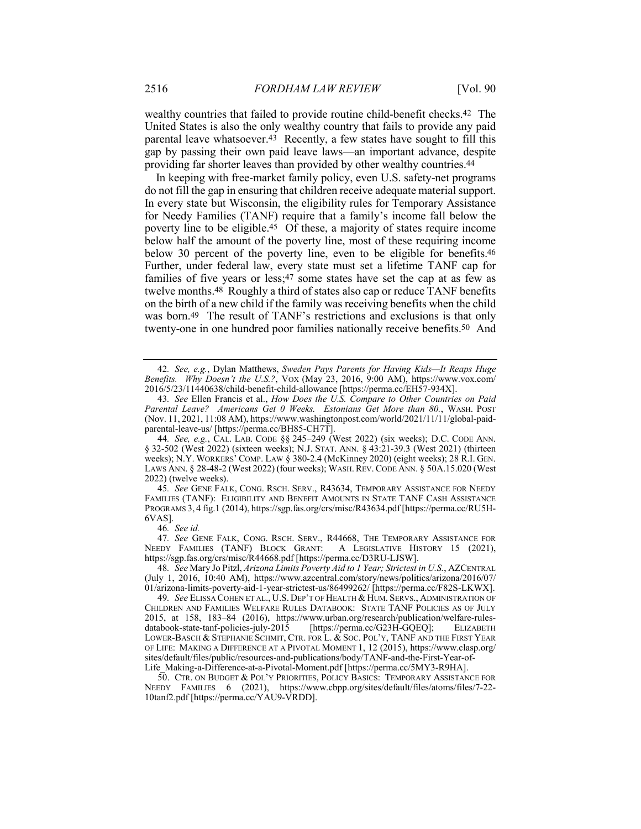wealthy countries that failed to provide routine child-benefit checks.42 The United States is also the only wealthy country that fails to provide any paid parental leave whatsoever.43 Recently, a few states have sought to fill this gap by passing their own paid leave laws—an important advance, despite providing far shorter leaves than provided by other wealthy countries.44

In keeping with free-market family policy, even U.S. safety-net programs do not fill the gap in ensuring that children receive adequate material support. In every state but Wisconsin, the eligibility rules for Temporary Assistance for Needy Families (TANF) require that a family's income fall below the poverty line to be eligible.45 Of these, a majority of states require income below half the amount of the poverty line, most of these requiring income below 30 percent of the poverty line, even to be eligible for benefits.46 Further, under federal law, every state must set a lifetime TANF cap for families of five years or less;47 some states have set the cap at as few as twelve months.48 Roughly a third of states also cap or reduce TANF benefits on the birth of a new child if the family was receiving benefits when the child was born.49 The result of TANF's restrictions and exclusions is that only twenty-one in one hundred poor families nationally receive benefits.50 And

45*. See* GENE FALK, CONG. RSCH. SERV., R43634, TEMPORARY ASSISTANCE FOR NEEDY FAMILIES (TANF): ELIGIBILITY AND BENEFIT AMOUNTS IN STATE TANF CASH ASSISTANCE PROGRAMS 3, 4 fig.1 (2014), https://sgp.fas.org/crs/misc/R43634.pdf [https://perma.cc/RU5H-6VAS].

46*. See id.*

47*. See* GENE FALK, CONG. RSCH. SERV., R44668, THE TEMPORARY ASSISTANCE FOR NEEDY FAMILIES (TANF) BLOCK GRANT: A LEGISLATIVE HISTORY 15 (2021), https://sgp.fas.org/crs/misc/R44668.pdf [https://perma.cc/D3RU-LJSW].

48*. See* Mary Jo Pitzl, *Arizona Limits Poverty Aid to 1 Year; Strictest in U.S.*, AZCENTRAL (July 1, 2016, 10:40 AM), https://www.azcentral.com/story/news/politics/arizona/2016/07/ 01/arizona-limits-poverty-aid-1-year-strictest-us/86499262/ [https://perma.cc/F82S-LKWX].

50. CTR. ON BUDGET & POL'Y PRIORITIES, POLICY BASICS: TEMPORARY ASSISTANCE FOR NEEDY FAMILIES 6 (2021), https://www.cbpp.org/sites/default/files/atoms/files/7-22- 10tanf2.pdf [https://perma.cc/YAU9-VRDD].

<sup>42</sup>*. See, e.g.*, Dylan Matthews, *Sweden Pays Parents for Having Kids—It Reaps Huge Benefits. Why Doesn't the U.S.?*, VOX (May 23, 2016, 9:00 AM), https://www.vox.com/ 2016/5/23/11440638/child-benefit-child-allowance [https://perma.cc/EH57-934X].

<sup>43</sup>*. See* Ellen Francis et al., *How Does the U.S. Compare to Other Countries on Paid Parental Leave? Americans Get 0 Weeks. Estonians Get More than 80.*, WASH. POST (Nov. 11, 2021, 11:08 AM), https://www.washingtonpost.com/world/2021/11/11/global-paidparental-leave-us/ [https://perma.cc/BH85-CH7T].

<sup>44</sup>*. See, e.g.*, CAL. LAB. CODE §§ 245–249 (West 2022) (six weeks); D.C. CODE ANN. § 32-502 (West 2022) (sixteen weeks); N.J. STAT. ANN. § 43:21-39.3 (West 2021) (thirteen weeks); N.Y. WORKERS' COMP. LAW § 380-2.4 (McKinney 2020) (eight weeks); 28 R.I. GEN. LAWS ANN. § 28-48-2 (West 2022) (four weeks); WASH.REV.CODE ANN. § 50A.15.020 (West 2022) (twelve weeks).

<sup>49</sup>*. See* ELISSA COHEN ET AL., U.S. DEP'T OF HEALTH & HUM. SERVS., ADMINISTRATION OF CHILDREN AND FAMILIES WELFARE RULES DATABOOK: STATE TANF POLICIES AS OF JULY 2015, at 158, 183–84 (2016), https://www.urban.org/research/publication/welfare-rulesdatabook-state-tanf-policies-july-2015 [https://perma.cc/G23H-GQEQ]; ELIZABETH LOWER-BASCH & STEPHANIE SCHMIT, CTR. FOR L. & SOC. POL'Y, TANF AND THE FIRST YEAR OF LIFE: MAKING A DIFFERENCE AT A PIVOTAL MOMENT 1, 12 (2015), https://www.clasp.org/ sites/default/files/public/resources-and-publications/body/TANF-and-the-First-Year-of-Life\_Making-a-Difference-at-a-Pivotal-Moment.pdf [https://perma.cc/5MY3-R9HA].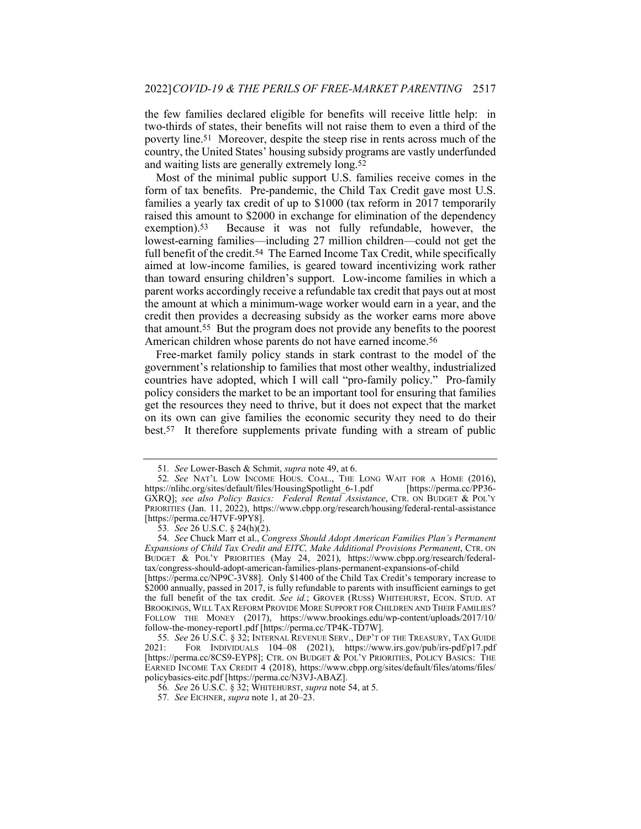the few families declared eligible for benefits will receive little help: in two-thirds of states, their benefits will not raise them to even a third of the poverty line.51 Moreover, despite the steep rise in rents across much of the country, the United States' housing subsidy programs are vastly underfunded and waiting lists are generally extremely long.52

Most of the minimal public support U.S. families receive comes in the form of tax benefits. Pre-pandemic, the Child Tax Credit gave most U.S. families a yearly tax credit of up to \$1000 (tax reform in 2017 temporarily raised this amount to \$2000 in exchange for elimination of the dependency exemption).53 Because it was not fully refundable, however, the lowest-earning families—including 27 million children—could not get the full benefit of the credit.<sup>54</sup> The Earned Income Tax Credit, while specifically aimed at low-income families, is geared toward incentivizing work rather than toward ensuring children's support. Low-income families in which a parent works accordingly receive a refundable tax credit that pays out at most the amount at which a minimum-wage worker would earn in a year, and the credit then provides a decreasing subsidy as the worker earns more above that amount.55 But the program does not provide any benefits to the poorest American children whose parents do not have earned income.56

Free-market family policy stands in stark contrast to the model of the government's relationship to families that most other wealthy, industrialized countries have adopted, which I will call "pro-family policy." Pro-family policy considers the market to be an important tool for ensuring that families get the resources they need to thrive, but it does not expect that the market on its own can give families the economic security they need to do their best.57 It therefore supplements private funding with a stream of public

53*. See* 26 U.S.C. § 24(h)(2).

<sup>51</sup>*. See* Lower-Basch & Schmit, *supra* note 49, at 6.

<sup>52.</sup> *See* NAT'L LOW INCOME HOUS. COAL., THE LONG WAIT FOR A HOME (2016), os://nlihc.org/sites/default/files/HousingSpotlight 6-1.pdf [https://perma.cc/PP36https://nlihc.org/sites/default/files/HousingSpotlight\_6-1.pdf GXRQ]; *see also Policy Basics: Federal Rental Assistance*, CTR. ON BUDGET & POL'Y PRIORITIES (Jan. 11, 2022), https://www.cbpp.org/research/housing/federal-rental-assistance [https://perma.cc/H7VF-9PY8].

<sup>54</sup>*. See* Chuck Marr et al., *Congress Should Adopt American Families Plan's Permanent Expansions of Child Tax Credit and EITC, Make Additional Provisions Permanent*, CTR. ON BUDGET & POL'Y PRIORITIES (May 24, 2021), https://www.cbpp.org/research/federaltax/congress-should-adopt-american-families-plans-permanent-expansions-of-child

<sup>[</sup>https://perma.cc/NP9C-3V88]. Only \$1400 of the Child Tax Credit's temporary increase to \$2000 annually, passed in 2017, is fully refundable to parents with insufficient earnings to get the full benefit of the tax credit. *See id.*; GROVER (RUSS) WHITEHURST, ECON. STUD. AT BROOKINGS, WILL TAX REFORM PROVIDE MORE SUPPORT FOR CHILDREN AND THEIR FAMILIES? FOLLOW THE MONEY (2017), https://www.brookings.edu/wp-content/uploads/2017/10/ follow-the-money-report1.pdf [https://perma.cc/TP4K-TD7W].

<sup>55</sup>*. See* 26 U.S.C. § 32; INTERNAL REVENUE SERV., DEP'T OF THE TREASURY, TAX GUIDE 2021: For INDIVIDUALS 104–08 (2021). https://www.irs.gov/pub/irs-pdf/p17.pdf FOR INDIVIDUALS 104-08 (2021), https://www.irs.gov/pub/irs-pdf/p17.pdf [https://perma.cc/8CS9-EYP8]; CTR. ON BUDGET & POL'Y PRIORITIES, POLICY BASICS: THE EARNED INCOME TAX CREDIT 4 (2018), https://www.cbpp.org/sites/default/files/atoms/files/ policybasics-eitc.pdf [https://perma.cc/N3VJ-ABAZ].

<sup>56</sup>*. See* 26 U.S.C. § 32; WHITEHURST, *supra* note 54, at 5.

<sup>57</sup>*. See* EICHNER, *supra* note 1, at 20–23.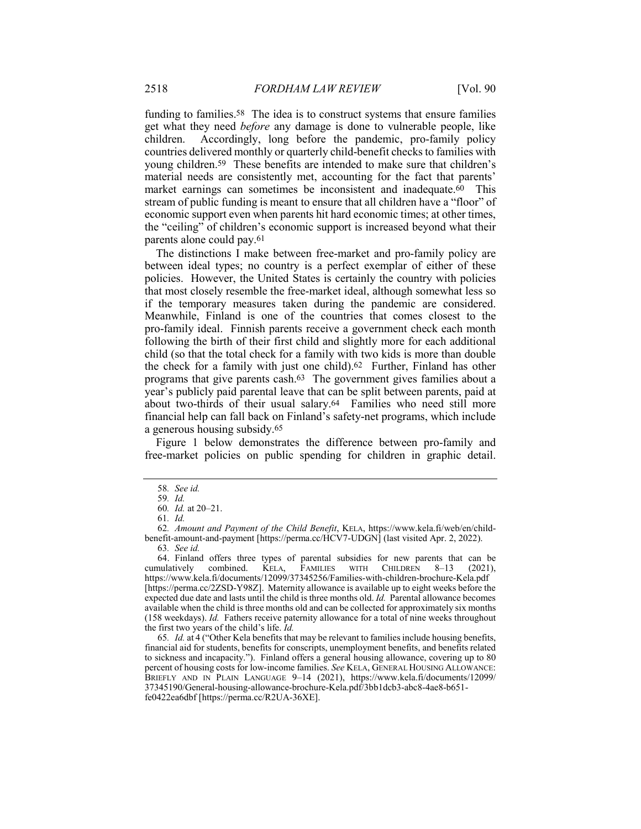funding to families.<sup>58</sup> The idea is to construct systems that ensure families get what they need *before* any damage is done to vulnerable people, like children. Accordingly, long before the pandemic, pro-family policy countries delivered monthly or quarterly child-benefit checks to families with young children.59 These benefits are intended to make sure that children's material needs are consistently met, accounting for the fact that parents' market earnings can sometimes be inconsistent and inadequate.<sup>60</sup> This stream of public funding is meant to ensure that all children have a "floor" of economic support even when parents hit hard economic times; at other times, the "ceiling" of children's economic support is increased beyond what their parents alone could pay.61

The distinctions I make between free-market and pro-family policy are between ideal types; no country is a perfect exemplar of either of these policies. However, the United States is certainly the country with policies that most closely resemble the free-market ideal, although somewhat less so if the temporary measures taken during the pandemic are considered. Meanwhile, Finland is one of the countries that comes closest to the pro-family ideal. Finnish parents receive a government check each month following the birth of their first child and slightly more for each additional child (so that the total check for a family with two kids is more than double the check for a family with just one child).62 Further, Finland has other programs that give parents cash.63 The government gives families about a year's publicly paid parental leave that can be split between parents, paid at about two-thirds of their usual salary.64 Families who need still more financial help can fall back on Finland's safety-net programs, which include a generous housing subsidy.65

Figure 1 below demonstrates the difference between pro-family and free-market policies on public spending for children in graphic detail.

62*. Amount and Payment of the Child Benefit*, KELA, https://www.kela.fi/web/en/childbenefit-amount-and-payment [https://perma.cc/HCV7-UDGN] (last visited Apr. 2, 2022).

64. Finland offers three types of parental subsidies for new parents that can be cumulatively combined. KELA, FAMILIES WITH CHILDREN 8–13 (2021), https://www.kela.fi/documents/12099/37345256/Families-with-children-brochure-Kela.pdf [https://perma.cc/2ZSD-Y98Z]. Maternity allowance is available up to eight weeks before the expected due date and lasts until the child is three months old. *Id.* Parental allowance becomes available when the child is three months old and can be collected for approximately six months (158 weekdays). *Id.* Fathers receive paternity allowance for a total of nine weeks throughout the first two years of the child's life. *Id.*

65*. Id.* at 4 ("Other Kela benefits that may be relevant to families include housing benefits, financial aid for students, benefits for conscripts, unemployment benefits, and benefits related to sickness and incapacity."). Finland offers a general housing allowance, covering up to 80 percent of housing costs for low-income families. *See* KELA, GENERAL HOUSING ALLOWANCE: BRIEFLY AND IN PLAIN LANGUAGE 9–14 (2021), https://www.kela.fi/documents/12099/ 37345190/General-housing-allowance-brochure-Kela.pdf/3bb1dcb3-abc8-4ae8-b651 fe0422ea6dbf [https://perma.cc/R2UA-36XE].

<sup>58</sup>*. See id.*

<sup>59</sup>*. Id.*

<sup>60</sup>*. Id.* at 20–21.

<sup>61</sup>*. Id.*

<sup>63</sup>*. See id.*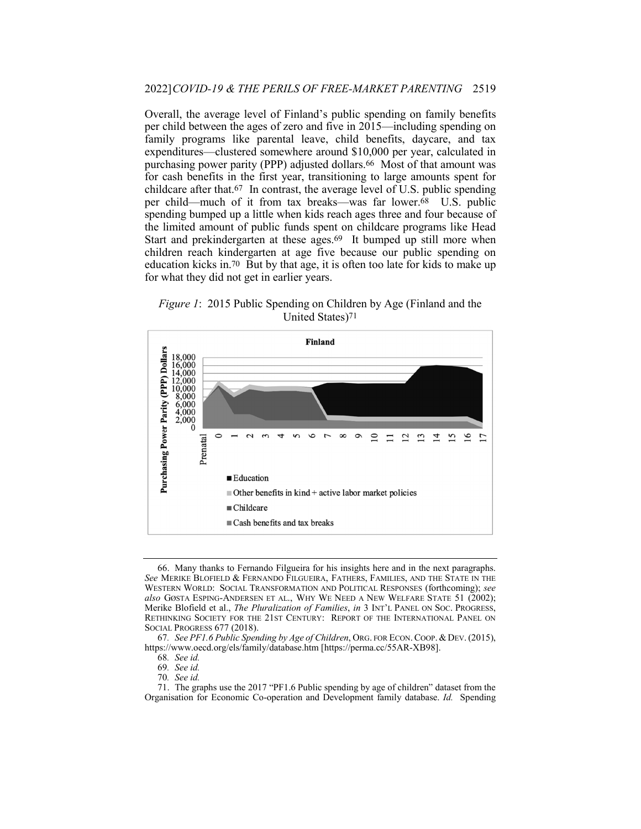Overall, the average level of Finland's public spending on family benefits per child between the ages of zero and five in 2015—including spending on family programs like parental leave, child benefits, daycare, and tax expenditures—clustered somewhere around \$10,000 per year, calculated in purchasing power parity (PPP) adjusted dollars.66 Most of that amount was for cash benefits in the first year, transitioning to large amounts spent for childcare after that.67 In contrast, the average level of U.S. public spending per child—much of it from tax breaks—was far lower.68 U.S. public spending bumped up a little when kids reach ages three and four because of the limited amount of public funds spent on childcare programs like Head Start and prekindergarten at these ages.<sup>69</sup> It bumped up still more when children reach kindergarten at age five because our public spending on education kicks in.70 But by that age, it is often too late for kids to make up for what they did not get in earlier years.

*Figure 1*: 2015 Public Spending on Children by Age (Finland and the United States)71



<sup>66.</sup> Many thanks to Fernando Filgueira for his insights here and in the next paragraphs. *See* MERIKE BLOFIELD & FERNANDO FILGUEIRA, FATHERS, FAMILIES, AND THE STATE IN THE WESTERN WORLD: SOCIAL TRANSFORMATION AND POLITICAL RESPONSES (forthcoming); *see also* GØSTA ESPING-ANDERSEN ET AL., WHY WE NEED A NEW WELFARE STATE 51 (2002); Merike Blofield et al., *The Pluralization of Families*, *in* 3 INT'L PANEL ON SOC. PROGRESS, RETHINKING SOCIETY FOR THE 21ST CENTURY: REPORT OF THE INTERNATIONAL PANEL ON SOCIAL PROGRESS 677 (2018).

<sup>67.</sup> See PF1.6 Public Spending by Age of Children, ORG. FOR ECON. COOP. & DEV. (2015), https://www.oecd.org/els/family/database.htm [https://perma.cc/55AR-XB98].

<sup>68</sup>*. See id.*

<sup>69</sup>*. See id.*

<sup>70</sup>*. See id.*

<sup>71.</sup> The graphs use the 2017 "PF1.6 Public spending by age of children" dataset from the Organisation for Economic Co-operation and Development family database. *Id.* Spending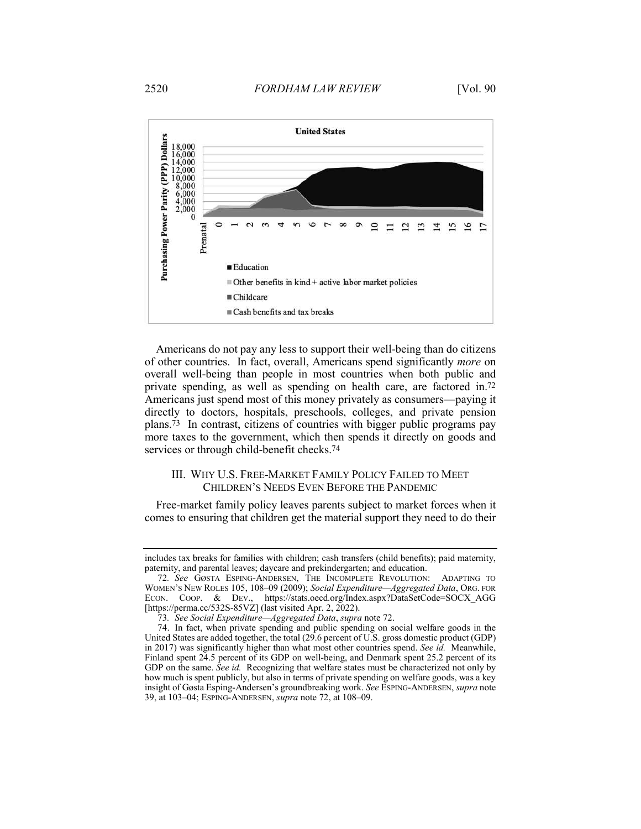

Americans do not pay any less to support their well-being than do citizens of other countries. In fact, overall, Americans spend significantly *more* on overall well-being than people in most countries when both public and private spending, as well as spending on health care, are factored in.72 Americans just spend most of this money privately as consumers—paying it directly to doctors, hospitals, preschools, colleges, and private pension plans.73 In contrast, citizens of countries with bigger public programs pay more taxes to the government, which then spends it directly on goods and services or through child-benefit checks.74

## III. WHY U.S. FREE-MARKET FAMILY POLICY FAILED TO MEET CHILDREN'S NEEDS EVEN BEFORE THE PANDEMIC

Free-market family policy leaves parents subject to market forces when it comes to ensuring that children get the material support they need to do their

includes tax breaks for families with children; cash transfers (child benefits); paid maternity, paternity, and parental leaves; daycare and prekindergarten; and education.

<sup>72</sup>*. See* GØSTA ESPING-ANDERSEN, THE INCOMPLETE REVOLUTION: ADAPTING TO WOMEN'S NEW ROLES 105, 108–09 (2009); *Social Expenditure—Aggregated Data*, ORG. FOR ECON. COOP. & DEV., https://stats.oecd.org/Index.aspx?DataSetCode=SOCX\_AGG [https://perma.cc/532S-85VZ] (last visited Apr. 2, 2022).

<sup>73</sup>*. See Social Expenditure—Aggregated Data*, *supra* note 72.

<sup>74.</sup> In fact, when private spending and public spending on social welfare goods in the United States are added together, the total (29.6 percent of U.S. gross domestic product (GDP) in 2017) was significantly higher than what most other countries spend. *See id.* Meanwhile, Finland spent 24.5 percent of its GDP on well-being, and Denmark spent 25.2 percent of its GDP on the same. *See id.* Recognizing that welfare states must be characterized not only by how much is spent publicly, but also in terms of private spending on welfare goods, was a key insight of Gøsta Esping-Andersen's groundbreaking work. *See* ESPING-ANDERSEN, *supra* note 39, at 103–04; ESPING-ANDERSEN, *supra* note 72, at 108–09.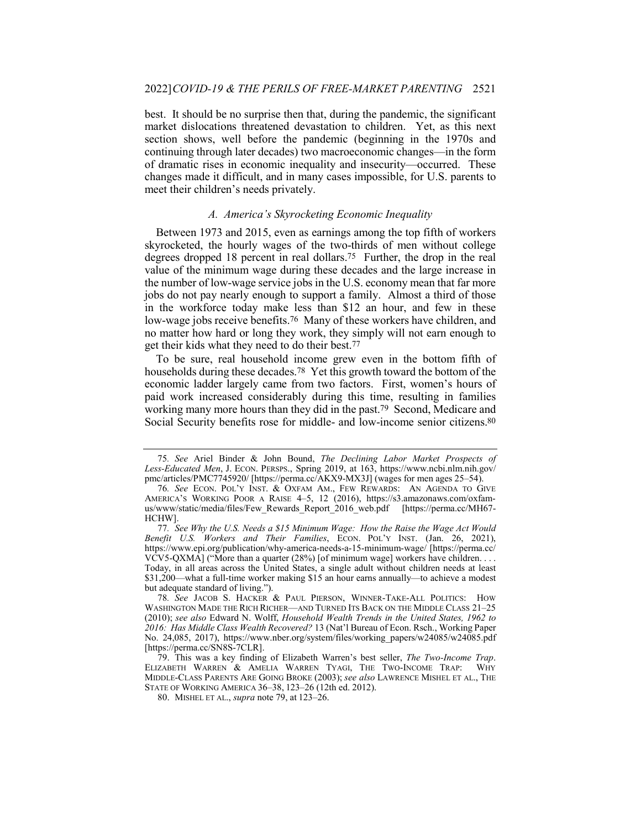best. It should be no surprise then that, during the pandemic, the significant market dislocations threatened devastation to children. Yet, as this next section shows, well before the pandemic (beginning in the 1970s and continuing through later decades) two macroeconomic changes—in the form of dramatic rises in economic inequality and insecurity—occurred. These changes made it difficult, and in many cases impossible, for U.S. parents to meet their children's needs privately.

# *A. America's Skyrocketing Economic Inequality*

Between 1973 and 2015, even as earnings among the top fifth of workers skyrocketed, the hourly wages of the two-thirds of men without college degrees dropped 18 percent in real dollars.75 Further, the drop in the real value of the minimum wage during these decades and the large increase in the number of low-wage service jobs in the U.S. economy mean that far more jobs do not pay nearly enough to support a family. Almost a third of those in the workforce today make less than \$12 an hour, and few in these low-wage jobs receive benefits.76 Many of these workers have children, and no matter how hard or long they work, they simply will not earn enough to get their kids what they need to do their best.77

To be sure, real household income grew even in the bottom fifth of households during these decades.78 Yet this growth toward the bottom of the economic ladder largely came from two factors. First, women's hours of paid work increased considerably during this time, resulting in families working many more hours than they did in the past.<sup>79</sup> Second, Medicare and Social Security benefits rose for middle- and low-income senior citizens.80

<sup>75</sup>*. See* Ariel Binder & John Bound, *The Declining Labor Market Prospects of Less-Educated Men*, J. ECON. PERSPS., Spring 2019, at 163, https://www.ncbi.nlm.nih.gov/ pmc/articles/PMC7745920/ [https://perma.cc/AKX9-MX3J] (wages for men ages 25–54).

<sup>76</sup>*. See* ECON. POL'Y INST. & OXFAM AM., FEW REWARDS: AN AGENDA TO GIVE AMERICA'S WORKING POOR A RAISE 4–5, 12 (2016), https://s3.amazonaws.com/oxfamus/www/static/media/files/Few\_Rewards\_Report\_2016\_web.pdf [https://perma.cc/MH67- HCHW].

<sup>77</sup>*. See Why the U.S. Needs a \$15 Minimum Wage: How the Raise the Wage Act Would Benefit U.S. Workers and Their Families*, ECON. POL'Y INST. (Jan. 26, 2021), https://www.epi.org/publication/why-america-needs-a-15-minimum-wage/ [https://perma.cc/ VCV5-QXMA] ("More than a quarter (28%) [of minimum wage] workers have children. . . . Today, in all areas across the United States, a single adult without children needs at least \$31,200—what a full-time worker making \$15 an hour earns annually—to achieve a modest but adequate standard of living.").

<sup>78</sup>*. See* JACOB S. HACKER & PAUL PIERSON, WINNER-TAKE-ALL POLITICS: HOW WASHINGTON MADE THE RICH RICHER—AND TURNED ITS BACK ON THE MIDDLE CLASS 21–25 (2010); *see also* Edward N. Wolff, *Household Wealth Trends in the United States, 1962 to 2016: Has Middle Class Wealth Recovered?* 13 (Nat'l Bureau of Econ. Rsch., Working Paper No. 24,085, 2017), https://www.nber.org/system/files/working\_papers/w24085/w24085.pdf [https://perma.cc/SN8S-7CLR].

<sup>79.</sup> This was a key finding of Elizabeth Warren's best seller, *The Two-Income Trap*. ELIZABETH WARREN & AMELIA WARREN TYAGI, THE TWO-INCOME TRAP: WHY MIDDLE-CLASS PARENTS ARE GOING BROKE (2003); *see also* LAWRENCE MISHEL ET AL., THE STATE OF WORKING AMERICA 36–38, 123–26 (12th ed. 2012).

<sup>80.</sup> MISHEL ET AL., *supra* note 79, at 123–26.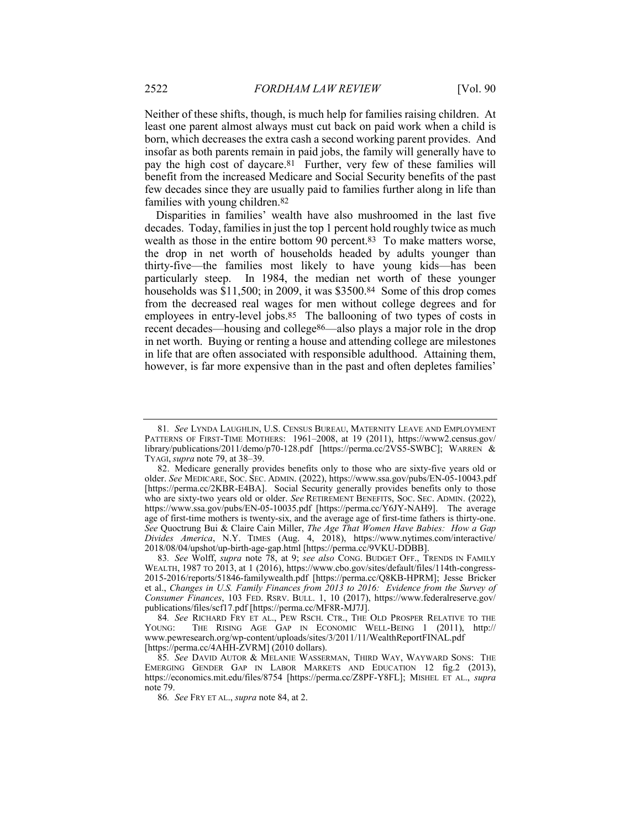Neither of these shifts, though, is much help for families raising children. At least one parent almost always must cut back on paid work when a child is born, which decreases the extra cash a second working parent provides. And insofar as both parents remain in paid jobs, the family will generally have to pay the high cost of daycare.81 Further, very few of these families will benefit from the increased Medicare and Social Security benefits of the past few decades since they are usually paid to families further along in life than families with young children.82

Disparities in families' wealth have also mushroomed in the last five decades. Today, families in just the top 1 percent hold roughly twice as much wealth as those in the entire bottom 90 percent.<sup>83</sup> To make matters worse, the drop in net worth of households headed by adults younger than thirty-five—the families most likely to have young kids—has been particularly steep. In 1984, the median net worth of these younger households was \$11,500; in 2009, it was \$3500.84 Some of this drop comes from the decreased real wages for men without college degrees and for employees in entry-level jobs.85 The ballooning of two types of costs in recent decades—housing and college86—also plays a major role in the drop in net worth. Buying or renting a house and attending college are milestones in life that are often associated with responsible adulthood. Attaining them, however, is far more expensive than in the past and often depletes families'

<sup>81</sup>*. See* LYNDA LAUGHLIN, U.S. CENSUS BUREAU, MATERNITY LEAVE AND EMPLOYMENT PATTERNS OF FIRST-TIME MOTHERS: 1961–2008, at 19 (2011), https://www2.census.gov/ library/publications/2011/demo/p70-128.pdf [https://perma.cc/2VS5-SWBC]; WARREN & TYAGI, *supra* note 79, at 38–39.

<sup>82.</sup> Medicare generally provides benefits only to those who are sixty-five years old or older. *See* MEDICARE, SOC. SEC. ADMIN. (2022), https://www.ssa.gov/pubs/EN-05-10043.pdf [https://perma.cc/2KBR-E4BA]. Social Security generally provides benefits only to those who are sixty-two years old or older. *See* RETIREMENT BENEFITS, SOC. SEC. ADMIN. (2022), https://www.ssa.gov/pubs/EN-05-10035.pdf [https://perma.cc/Y6JY-NAH9]. The average age of first-time mothers is twenty-six, and the average age of first-time fathers is thirty-one. *See* Quoctrung Bui & Claire Cain Miller, *The Age That Women Have Babies: How a Gap Divides America*, N.Y. TIMES (Aug. 4, 2018), https://www.nytimes.com/interactive/ 2018/08/04/upshot/up-birth-age-gap.html [https://perma.cc/9VKU-DDBB].

<sup>83</sup>*. See* Wolff, *supra* note 78, at 9; *see also* CONG. BUDGET OFF., TRENDS IN FAMILY WEALTH, 1987 TO 2013, at 1 (2016), https://www.cbo.gov/sites/default/files/114th-congress-2015-2016/reports/51846-familywealth.pdf [https://perma.cc/Q8KB-HPRM]; Jesse Bricker et al., *Changes in U.S. Family Finances from 2013 to 2016: Evidence from the Survey of Consumer Finances*, 103 FED. RSRV. BULL. 1, 10 (2017), https://www.federalreserve.gov/ publications/files/scf17.pdf [https://perma.cc/MF8R-MJ7J].

<sup>84.</sup> *See* RICHARD FRY ET AL., PEW RSCH. CTR., THE OLD PROSPER RELATIVE TO THE YOUNG: THE RISING AGE GAP IN ECONOMIC WELL-BEING 1 (2011), http:// THE RISING AGE GAP IN ECONOMIC WELL-BEING 1 (2011), http:// www.pewresearch.org/wp-content/uploads/sites/3/2011/11/WealthReportFINAL.pdf [https://perma.cc/4AHH-ZVRM] (2010 dollars).

<sup>85</sup>*. See* DAVID AUTOR & MELANIE WASSERMAN, THIRD WAY, WAYWARD SONS: THE EMERGING GENDER GAP IN LABOR MARKETS AND EDUCATION 12 fig.2 (2013), https://economics.mit.edu/files/8754 [https://perma.cc/Z8PF-Y8FL]; MISHEL ET AL., *supra* note 79.

<sup>86</sup>*. See* FRY ET AL., *supra* note 84, at 2.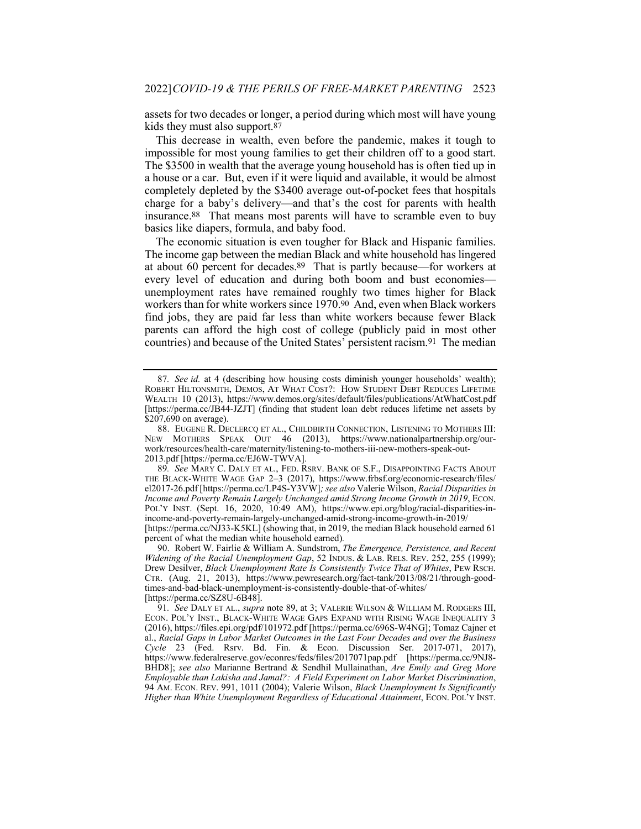assets for two decades or longer, a period during which most will have young kids they must also support.87

This decrease in wealth, even before the pandemic, makes it tough to impossible for most young families to get their children off to a good start. The \$3500 in wealth that the average young household has is often tied up in a house or a car. But, even if it were liquid and available, it would be almost completely depleted by the \$3400 average out-of-pocket fees that hospitals charge for a baby's delivery—and that's the cost for parents with health insurance.88 That means most parents will have to scramble even to buy basics like diapers, formula, and baby food.

The economic situation is even tougher for Black and Hispanic families. The income gap between the median Black and white household has lingered at about 60 percent for decades.89 That is partly because—for workers at every level of education and during both boom and bust economies unemployment rates have remained roughly two times higher for Black workers than for white workers since 1970.90 And, even when Black workers find jobs, they are paid far less than white workers because fewer Black parents can afford the high cost of college (publicly paid in most other countries) and because of the United States' persistent racism.91 The median

<sup>87</sup>*. See id.* at 4 (describing how housing costs diminish younger households' wealth); ROBERT HILTONSMITH, DEMOS, AT WHAT COST?: HOW STUDENT DEBT REDUCES LIFETIME WEALTH 10 (2013), https://www.demos.org/sites/default/files/publications/AtWhatCost.pdf [https://perma.cc/JB44-JZJT] (finding that student loan debt reduces lifetime net assets by \$207,690 on average).

<sup>88.</sup> EUGENE R. DECLERCQ ET AL., CHILDBIRTH CONNECTION, LISTENING TO MOTHERS III: NEW MOTHERS SPEAK OUT 46 (2013), https://www.nationalpartnership.org/ourwork/resources/health-care/maternity/listening-to-mothers-iii-new-mothers-speak-out-2013.pdf [https://perma.cc/EJ6W-TWVA].

<sup>89</sup>*. See* MARY C. DALY ET AL., FED. RSRV. BANK OF S.F., DISAPPOINTING FACTS ABOUT THE BLACK-WHITE WAGE GAP 2–3 (2017), https://www.frbsf.org/economic-research/files/ el2017-26.pdf [https://perma.cc/LP4S-Y3VW]*; see also* Valerie Wilson, *Racial Disparities in Income and Poverty Remain Largely Unchanged amid Strong Income Growth in 2019*, ECON. POL'Y INST. (Sept. 16, 2020, 10:49 AM), https://www.epi.org/blog/racial-disparities-inincome-and-poverty-remain-largely-unchanged-amid-strong-income-growth-in-2019/ [https://perma.cc/NJ33-K5KL] (showing that, in 2019, the median Black household earned 61 percent of what the median white household earned)*.*

<sup>90.</sup> Robert W. Fairlie & William A. Sundstrom, *The Emergence, Persistence, and Recent Widening of the Racial Unemployment Gap*, 52 INDUS. & LAB. RELS. REV. 252, 255 (1999); Drew Desilver, *Black Unemployment Rate Is Consistently Twice That of Whites*, PEW RSCH. CTR. (Aug. 21, 2013), https://www.pewresearch.org/fact-tank/2013/08/21/through-goodtimes-and-bad-black-unemployment-is-consistently-double-that-of-whites/ [https://perma.cc/SZ8U-6B48].

<sup>91</sup>*. See* DALY ET AL., *supra* note 89, at 3; VALERIE WILSON & WILLIAM M. RODGERS III, ECON. POL'Y INST., BLACK-WHITE WAGE GAPS EXPAND WITH RISING WAGE INEQUALITY 3 (2016), https://files.epi.org/pdf/101972.pdf [https://perma.cc/696S-W4NG]; Tomaz Cajner et al., *Racial Gaps in Labor Market Outcomes in the Last Four Decades and over the Business Cycle* 23 (Fed. Rsrv. Bd. Fin. & Econ. Discussion Ser. 2017-071, 2017), https://www.federalreserve.gov/econres/feds/files/2017071pap.pdf [https://perma.cc/9NJ8- BHD8]; *see also* Marianne Bertrand & Sendhil Mullainathan, *Are Emily and Greg More Employable than Lakisha and Jamal?: A Field Experiment on Labor Market Discrimination*, 94 AM. ECON. REV. 991, 1011 (2004); Valerie Wilson, *Black Unemployment Is Significantly Higher than White Unemployment Regardless of Educational Attainment*, ECON. POL'Y INST.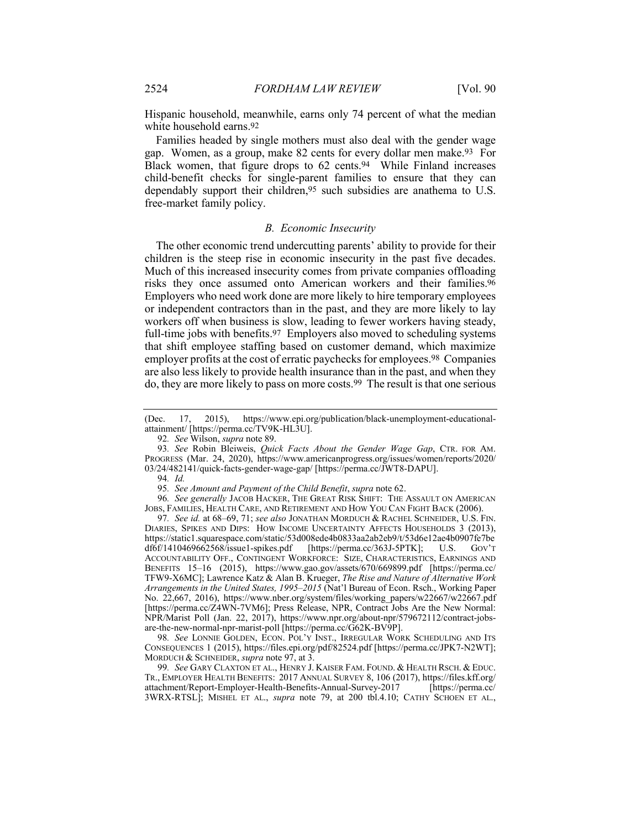Hispanic household, meanwhile, earns only 74 percent of what the median white household earns.92

Families headed by single mothers must also deal with the gender wage gap. Women, as a group, make 82 cents for every dollar men make.93 For Black women, that figure drops to 62 cents.94 While Finland increases child-benefit checks for single-parent families to ensure that they can dependably support their children,95 such subsidies are anathema to U.S. free-market family policy.

#### *B. Economic Insecurity*

The other economic trend undercutting parents' ability to provide for their children is the steep rise in economic insecurity in the past five decades. Much of this increased insecurity comes from private companies offloading risks they once assumed onto American workers and their families.96 Employers who need work done are more likely to hire temporary employees or independent contractors than in the past, and they are more likely to lay workers off when business is slow, leading to fewer workers having steady, full-time jobs with benefits.<sup>97</sup> Employers also moved to scheduling systems that shift employee staffing based on customer demand, which maximize employer profits at the cost of erratic paychecks for employees.98 Companies are also less likely to provide health insurance than in the past, and when they do, they are more likely to pass on more costs.99 The result is that one serious

96*. See generally* JACOB HACKER, THE GREAT RISK SHIFT: THE ASSAULT ON AMERICAN JOBS, FAMILIES, HEALTH CARE, AND RETIREMENT AND HOW YOU CAN FIGHT BACK (2006).

97*. See id.* at 68–69, 71; *see also* JONATHAN MORDUCH & RACHEL SCHNEIDER, U.S. FIN. DIARIES, SPIKES AND DIPS: HOW INCOME UNCERTAINTY AFFECTS HOUSEHOLDS 3 (2013), https://static1.squarespace.com/static/53d008ede4b0833aa2ab2eb9/t/53d6e12ae4b0907fe7be<br>df6f/1410469662568/issue1-spikes.pdf [https://perma.cc/363J-5PTK]; U.S. Gov't df6f/1410469662568/issue1-spikes.pdf ACCOUNTABILITY OFF., CONTINGENT WORKFORCE: SIZE, CHARACTERISTICS, EARNINGS AND BENEFITS 15–16 (2015), https://www.gao.gov/assets/670/669899.pdf [https://perma.cc/ TFW9-X6MC]; Lawrence Katz & Alan B. Krueger, *The Rise and Nature of Alternative Work Arrangements in the United States, 1995–2015* (Nat'l Bureau of Econ. Rsch., Working Paper No. 22,667, 2016), https://www.nber.org/system/files/working\_papers/w22667/w22667.pdf [https://perma.cc/Z4WN-7VM6]; Press Release, NPR, Contract Jobs Are the New Normal: NPR/Marist Poll (Jan. 22, 2017), https://www.npr.org/about-npr/579672112/contract-jobsare-the-new-normal-npr-marist-poll [https://perma.cc/G62K-BV9P].

98*. See* LONNIE GOLDEN, ECON. POL'Y INST., IRREGULAR WORK SCHEDULING AND ITS CONSEQUENCES 1 (2015), https://files.epi.org/pdf/82524.pdf [https://perma.cc/JPK7-N2WT]; MORDUCH & SCHNEIDER, *supra* note 97, at 3.

99*. See* GARY CLAXTON ET AL., HENRY J. KAISER FAM. FOUND. & HEALTH RSCH. & EDUC. TR., EMPLOYER HEALTH BENEFITS: 2017 ANNUAL SURVEY 8, 106 (2017), https://files.kff.org/ attachment/Report-Employer-Health-Benefits-Annual-Survey-2017 [https://perma.cc/ 3WRX-RTSL]; MISHEL ET AL., *supra* note 79, at 200 tbl.4.10; CATHY SCHOEN ET AL.,

<sup>(</sup>Dec. 17, 2015), https://www.epi.org/publication/black-unemployment-educationalattainment/ [https://perma.cc/TV9K-HL3U].

<sup>92</sup>*. See* Wilson, *supra* note 89.

<sup>93</sup>*. See* Robin Bleiweis, *Quick Facts About the Gender Wage Gap*, CTR. FOR AM. PROGRESS (Mar. 24, 2020), https://www.americanprogress.org/issues/women/reports/2020/ 03/24/482141/quick-facts-gender-wage-gap/ [https://perma.cc/JWT8-DAPU].

<sup>94</sup>*. Id.*

<sup>95</sup>*. See Amount and Payment of the Child Benefit*, *supra* note 62.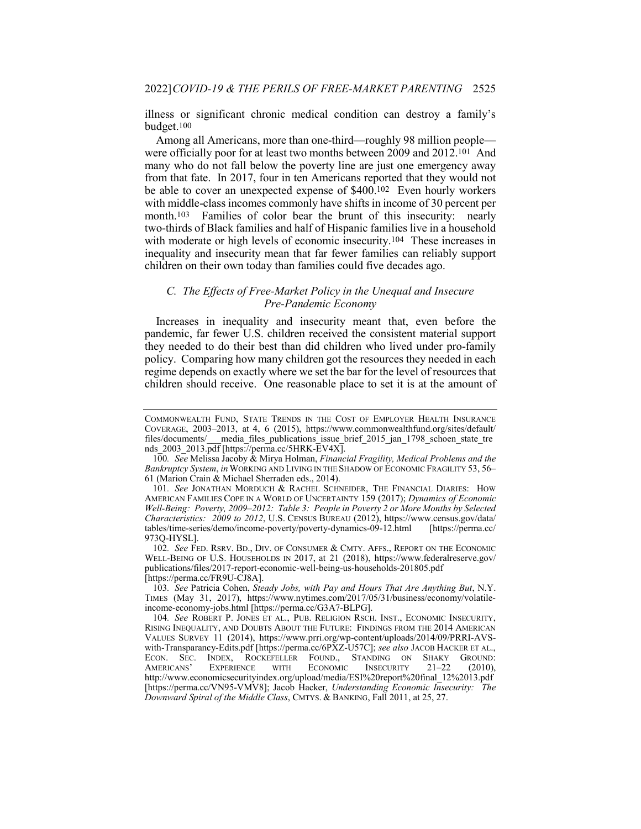illness or significant chronic medical condition can destroy a family's budget.100

Among all Americans, more than one-third—roughly 98 million people were officially poor for at least two months between 2009 and 2012.101 And many who do not fall below the poverty line are just one emergency away from that fate. In 2017, four in ten Americans reported that they would not be able to cover an unexpected expense of \$400.102 Even hourly workers with middle-class incomes commonly have shifts in income of 30 percent per month.103 Families of color bear the brunt of this insecurity: nearly two-thirds of Black families and half of Hispanic families live in a household with moderate or high levels of economic insecurity.104 These increases in inequality and insecurity mean that far fewer families can reliably support children on their own today than families could five decades ago.

## *C. The Effects of Free-Market Policy in the Unequal and Insecure Pre-Pandemic Economy*

Increases in inequality and insecurity meant that, even before the pandemic, far fewer U.S. children received the consistent material support they needed to do their best than did children who lived under pro-family policy. Comparing how many children got the resources they needed in each regime depends on exactly where we set the bar for the level of resources that children should receive. One reasonable place to set it is at the amount of

COMMONWEALTH FUND, STATE TRENDS IN THE COST OF EMPLOYER HEALTH INSURANCE COVERAGE, 2003–2013, at 4, 6 (2015), https://www.commonwealthfund.org/sites/default/ files/documents/ — media files publications issue brief 2015 jan 1798 schoen state tre nds\_2003\_2013.pdf [https://perma.cc/5HRK-EV4X].

<sup>100</sup>*. See* Melissa Jacoby & Mirya Holman, *Financial Fragility, Medical Problems and the Bankruptcy System*, *in* WORKING AND LIVING IN THE SHADOW OF ECONOMIC FRAGILITY 53, 56– 61 (Marion Crain & Michael Sherraden eds., 2014).

<sup>101</sup>*. See* JONATHAN MORDUCH & RACHEL SCHNEIDER, THE FINANCIAL DIARIES: HOW AMERICAN FAMILIES COPE IN A WORLD OF UNCERTAINTY 159 (2017); *Dynamics of Economic Well-Being: Poverty, 2009–2012: Table 3: People in Poverty 2 or More Months by Selected Characteristics: 2009 to 2012*, U.S. CENSUS BUREAU (2012), https://www.census.gov/data/ tables/time-series/demo/income-poverty/poverty-dynamics-09-12.html [https://perma.cc/ 973Q-HYSL].

<sup>102</sup>*. See* FED. RSRV. BD., DIV. OF CONSUMER & CMTY. AFFS., REPORT ON THE ECONOMIC WELL-BEING OF U.S. HOUSEHOLDS IN 2017, at 21 (2018), https://www.federalreserve.gov/ publications/files/2017-report-economic-well-being-us-households-201805.pdf [https://perma.cc/FR9U-CJ8A].

<sup>103</sup>*. See* Patricia Cohen, *Steady Jobs, with Pay and Hours That Are Anything But*, N.Y. TIMES (May 31, 2017), https://www.nytimes.com/2017/05/31/business/economy/volatileincome-economy-jobs.html [https://perma.cc/G3A7-BLPG].

<sup>104</sup>*. See* ROBERT P. JONES ET AL., PUB. RELIGION RSCH. INST., ECONOMIC INSECURITY, RISING INEQUALITY, AND DOUBTS ABOUT THE FUTURE: FINDINGS FROM THE 2014 AMERICAN VALUES SURVEY 11 (2014), https://www.prri.org/wp-content/uploads/2014/09/PRRI-AVSwith-Transparancy-Edits.pdf [https://perma.cc/6PXZ-U57C]; *see also* JACOB HACKER ET AL.,<br>ECON. SEC. INDEX, ROCKEFELLER FOUND., STANDING ON SHAKY GROUND: ROCKEFELLER FOUND., STANDING ON SHAKY GROUND:<br>NCE WITH ECONOMIC INSECURITY 21–22 (2010), AMERICANS' EXPERIENCE WITH ECONOMIC INSECURITY 21–22 (2010), http://www.economicsecurityindex.org/upload/media/ESI%20report%20final\_12%2013.pdf [https://perma.cc/VN95-VMV8]; Jacob Hacker, *Understanding Economic Insecurity: The Downward Spiral of the Middle Class*, CMTYS. & BANKING, Fall 2011, at 25, 27.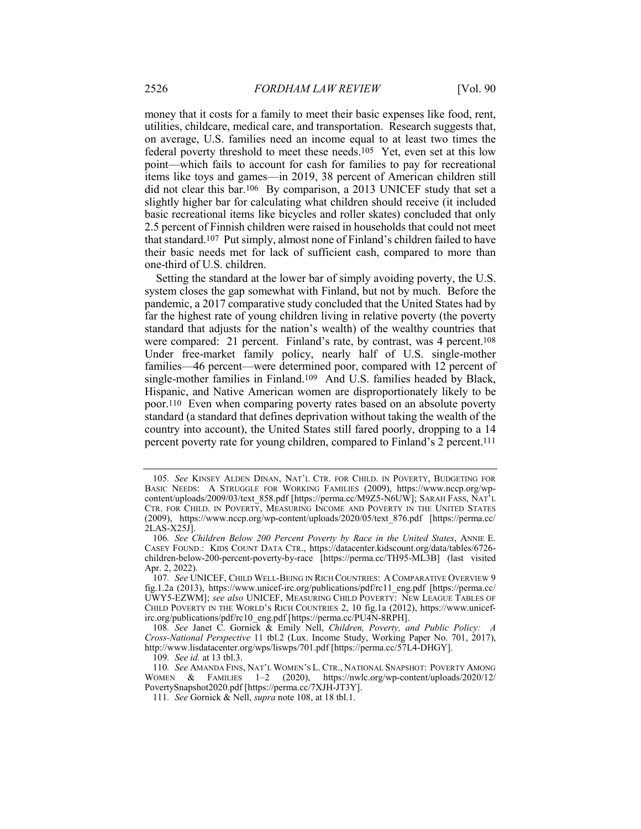money that it costs for a family to meet their basic expenses like food, rent, utilities, childcare, medical care, and transportation. Research suggests that, on average, U.S. families need an income equal to at least two times the federal poverty threshold to meet these needs.105 Yet, even set at this low point—which fails to account for cash for families to pay for recreational items like toys and games—in 2019, 38 percent of American children still did not clear this bar.106By comparison, a 2013 UNICEF study that set a slightly higher bar for calculating what children should receive (it included basic recreational items like bicycles and roller skates) concluded that only 2.5 percent of Finnish children were raised in households that could not meet that standard.107 Put simply, almost none of Finland's children failed to have their basic needs met for lack of sufficient cash, compared to more than one-third of U.S. children.

Setting the standard at the lower bar of simply avoiding poverty, the U.S. system closes the gap somewhat with Finland, but not by much. Before the pandemic, a 2017 comparative study concluded that the United States had by far the highest rate of young children living in relative poverty (the poverty standard that adjusts for the nation's wealth) of the wealthy countries that were compared: 21 percent. Finland's rate, by contrast, was 4 percent.108 Under free-market family policy, nearly half of U.S. single-mother families—46 percent—were determined poor, compared with 12 percent of single-mother families in Finland.109 And U.S. families headed by Black, Hispanic, and Native American women are disproportionately likely to be poor.110 Even when comparing poverty rates based on an absolute poverty standard (a standard that defines deprivation without taking the wealth of the country into account), the United States still fared poorly, dropping to a 14 percent poverty rate for young children, compared to Finland's 2 percent.111

109*. See id.* at 13 tbl.3.

110*. See* AMANDA FINS, NAT'L WOMEN'S L. CTR., NATIONAL SNAPSHOT: POVERTY AMONG WOMEN & FAMILIES 1–2 (2020), https://nwlc.org/wp-content/uploads/2020/12/ PovertySnapshot2020.pdf [https://perma.cc/7XJH-JT3Y].

<sup>105</sup>*. See* KINSEY ALDEN DINAN, NAT'L CTR. FOR CHILD. IN POVERTY, BUDGETING FOR BASIC NEEDS: A STRUGGLE FOR WORKING FAMILIES (2009), https://www.nccp.org/wpcontent/uploads/2009/03/text\_858.pdf [https://perma.cc/M9Z5-N6UW]; SARAH FASS, NAT'L CTR. FOR CHILD. IN POVERTY, MEASURING INCOME AND POVERTY IN THE UNITED STATES (2009), https://www.nccp.org/wp-content/uploads/2020/05/text\_876.pdf [https://perma.cc/ 2LAS-X25J].

<sup>106</sup>*. See Children Below 200 Percent Poverty by Race in the United States*, ANNIE E. CASEY FOUND.: KIDS COUNT DATA CTR., https://datacenter.kidscount.org/data/tables/6726 children-below-200-percent-poverty-by-race [https://perma.cc/TH95-ML3B] (last visited Apr. 2, 2022).

<sup>107</sup>*. See* UNICEF, CHILD WELL-BEING IN RICH COUNTRIES: A COMPARATIVE OVERVIEW 9 fig.1.2a (2013), https://www.unicef-irc.org/publications/pdf/rc11\_eng.pdf [https://perma.cc/ UWY5-EZWM]; *see also* UNICEF, MEASURING CHILD POVERTY: NEW LEAGUE TABLES OF CHILD POVERTY IN THE WORLD'S RICH COUNTRIES 2, 10 fig.1a (2012), https://www.unicefirc.org/publications/pdf/rc10\_eng.pdf [https://perma.cc/PU4N-8RPH].

<sup>108</sup>*. See* Janet C. Gornick & Emily Nell, *Children, Poverty, and Public Policy: A Cross-National Perspective* 11 tbl.2 (Lux. Income Study, Working Paper No. 701, 2017), http://www.lisdatacenter.org/wps/liswps/701.pdf [https://perma.cc/57L4-DHGY].

<sup>111</sup>*. See* Gornick & Nell, *supra* note 108, at 18 tbl.1.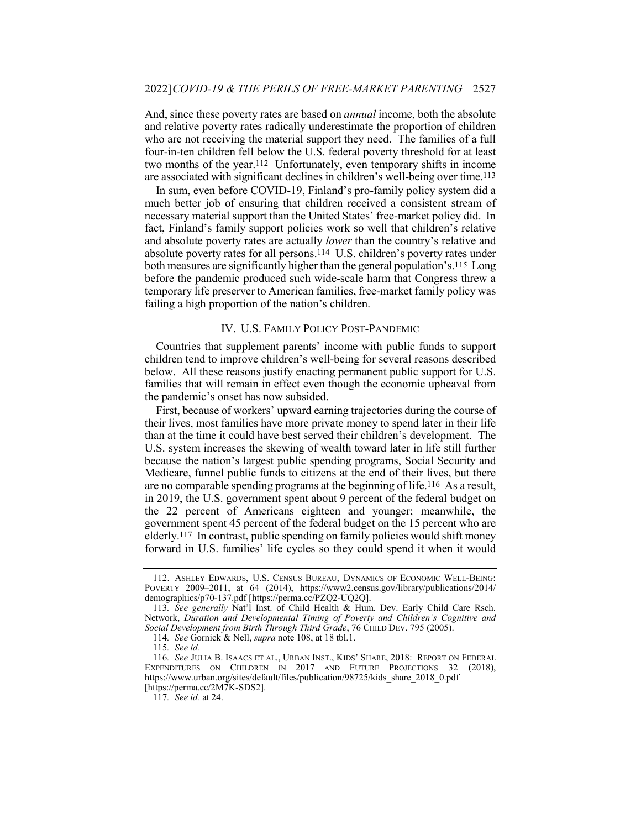And, since these poverty rates are based on *annual* income, both the absolute and relative poverty rates radically underestimate the proportion of children who are not receiving the material support they need. The families of a full four-in-ten children fell below the U.S. federal poverty threshold for at least two months of the year.112 Unfortunately, even temporary shifts in income are associated with significant declines in children's well-being over time.113

In sum, even before COVID-19, Finland's pro-family policy system did a much better job of ensuring that children received a consistent stream of necessary material support than the United States' free-market policy did. In fact, Finland's family support policies work so well that children's relative and absolute poverty rates are actually *lower* than the country's relative and absolute poverty rates for all persons.114 U.S. children's poverty rates under both measures are significantly higher than the general population's.115 Long before the pandemic produced such wide-scale harm that Congress threw a temporary life preserver to American families, free-market family policy was failing a high proportion of the nation's children.

## IV. U.S. FAMILY POLICY POST-PANDEMIC

Countries that supplement parents' income with public funds to support children tend to improve children's well-being for several reasons described below. All these reasons justify enacting permanent public support for U.S. families that will remain in effect even though the economic upheaval from the pandemic's onset has now subsided.

First, because of workers' upward earning trajectories during the course of their lives, most families have more private money to spend later in their life than at the time it could have best served their children's development. The U.S. system increases the skewing of wealth toward later in life still further because the nation's largest public spending programs, Social Security and Medicare, funnel public funds to citizens at the end of their lives, but there are no comparable spending programs at the beginning of life.116 As a result, in 2019, the U.S. government spent about 9 percent of the federal budget on the 22 percent of Americans eighteen and younger; meanwhile, the government spent 45 percent of the federal budget on the 15 percent who are elderly.117 In contrast, public spending on family policies would shift money forward in U.S. families' life cycles so they could spend it when it would

<sup>112.</sup> ASHLEY EDWARDS, U.S. CENSUS BUREAU, DYNAMICS OF ECONOMIC WELL-BEING: POVERTY 2009–2011, at 64 (2014), https://www2.census.gov/library/publications/2014/ demographics/p70-137.pdf [https://perma.cc/PZQ2-UQ2Q].

<sup>113</sup>*. See generally* Nat'l Inst. of Child Health & Hum. Dev. Early Child Care Rsch. Network, *Duration and Developmental Timing of Poverty and Children's Cognitive and Social Development from Birth Through Third Grade*, 76 CHILD DEV. 795 (2005).

<sup>114</sup>*. See* Gornick & Nell, *supra* note 108, at 18 tbl.1.

<sup>115</sup>*. See id.*

<sup>116</sup>*. See* JULIA B. ISAACS ET AL., URBAN INST., KIDS' SHARE, 2018: REPORT ON FEDERAL EXPENDITURES ON CHILDREN IN 2017 AND FUTURE PROJECTIONS 32 (2018), https://www.urban.org/sites/default/files/publication/98725/kids\_share\_2018\_0.pdf [https://perma.cc/2M7K-SDS2]*.*

<sup>117</sup>*. See id.* at 24.